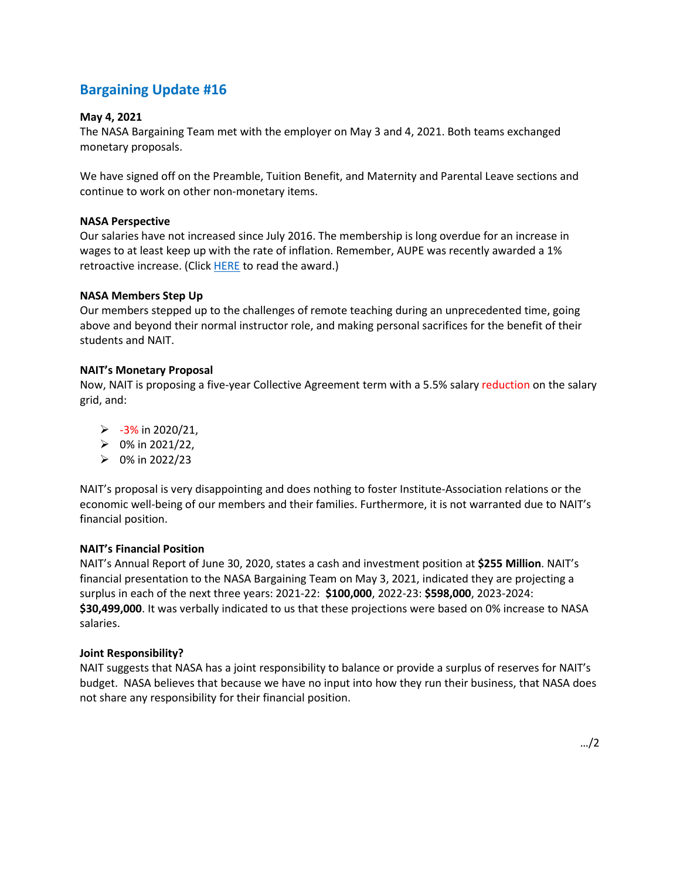# **Bargaining Update #16**

## **May 4, 2021**

The NASA Bargaining Team met with the employer on May 3 and 4, 2021. Both teams exchanged monetary proposals.

We have signed off on the Preamble, Tuition Benefit, and Maternity and Parental Leave sections and continue to work on other non-monetary items.

## **NASA Perspective**

Our salaries have not increased since July 2016. The membership is long overdue for an increase in wages to at least keep up with the rate of inflation. Remember, AUPE was recently awarded a 1% retroactive increase. (Click **HERE** to read the award.)

## **NASA Members Step Up**

Our members stepped up to the challenges of remote teaching during an unprecedented time, going above and beyond their normal instructor role, and making personal sacrifices for the benefit of their students and NAIT.

### **NAIT's Monetary Proposal**

Now, NAIT is proposing a five-year Collective Agreement term with a 5.5% salary reduction on the salary grid, and:

- $> -3\%$  in 2020/21,
- $\geq 0\%$  in 2021/22,
- $\triangleright$  0% in 2022/23

NAIT's proposal is very disappointing and does nothing to foster Institute-Association relations or the economic well-being of our members and their families. Furthermore, it is not warranted due to NAIT's financial position.

## **NAIT's Financial Position**

NAIT's Annual Report of June 30, 2020, states a cash and investment position at **\$255 Million**. NAIT's financial presentation to the NASA Bargaining Team on May 3, 2021, indicated they are projecting a surplus in each of the next three years: 2021-22: **\$100,000**, 2022-23: **\$598,000**, 2023-2024: **\$30,499,000**. It was verbally indicated to us that these projections were based on 0% increase to NASA salaries.

## **Joint Responsibility?**

NAIT suggests that NASA has a joint responsibility to balance or provide a surplus of reserves for NAIT's budget. NASA believes that because we have no input into how they run their business, that NASA does not share any responsibility for their financial position.